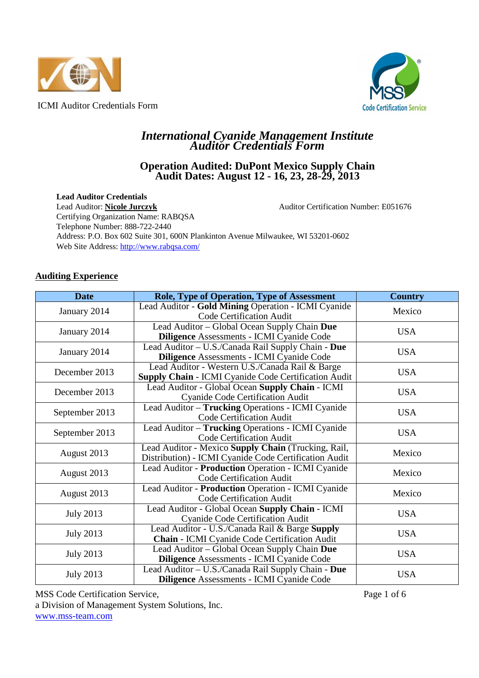



## *International Cyanide Management Institute Auditor Credentials Form*

## **Operation Audited: DuPont Mexico Supply Chain Audit Dates: August 12 - 16, 23, 28-29, 2013**

**Lead Auditor Credentials** 

Lead Auditor: **Nicole Jurczyk** Auditor Certification Number: E051676 Certifying Organization Name: RABQSA Telephone Number: 888-722-2440 Address: P.O. Box 602 Suite 301, 600N Plankinton Avenue Milwaukee, WI 53201-0602 Web Site Address: http://www.rabqsa.com/

## **Auditing Experience**

| <b>Date</b>      | Role, Type of Operation, Type of Assessment                                                                  | <b>Country</b> |
|------------------|--------------------------------------------------------------------------------------------------------------|----------------|
| January 2014     | Lead Auditor - Gold Mining Operation - ICMI Cyanide<br><b>Code Certification Audit</b>                       | Mexico         |
| January 2014     | Lead Auditor - Global Ocean Supply Chain Due<br>Diligence Assessments - ICMI Cyanide Code                    | <b>USA</b>     |
| January 2014     | Lead Auditor - U.S./Canada Rail Supply Chain - Due<br><b>Diligence Assessments - ICMI Cyanide Code</b>       | <b>USA</b>     |
| December 2013    | Lead Auditor - Western U.S./Canada Rail & Barge<br>Supply Chain - ICMI Cyanide Code Certification Audit      | <b>USA</b>     |
| December 2013    | Lead Auditor - Global Ocean Supply Chain - ICMI<br><b>Cyanide Code Certification Audit</b>                   | <b>USA</b>     |
| September 2013   | Lead Auditor - Trucking Operations - ICMI Cyanide<br><b>Code Certification Audit</b>                         | <b>USA</b>     |
| September 2013   | Lead Auditor - Trucking Operations - ICMI Cyanide<br><b>Code Certification Audit</b>                         | <b>USA</b>     |
| August 2013      | Lead Auditor - Mexico Supply Chain (Trucking, Rail,<br>Distribution) - ICMI Cyanide Code Certification Audit | Mexico         |
| August 2013      | Lead Auditor - Production Operation - ICMI Cyanide<br><b>Code Certification Audit</b>                        | Mexico         |
| August 2013      | Lead Auditor - Production Operation - ICMI Cyanide<br>Code Certification Audit                               | Mexico         |
| <b>July 2013</b> | Lead Auditor - Global Ocean Supply Chain - ICMI<br><b>Cyanide Code Certification Audit</b>                   |                |
| <b>July 2013</b> | Lead Auditor - U.S./Canada Rail & Barge Supply<br>Chain - ICMI Cyanide Code Certification Audit              | <b>USA</b>     |
| <b>July 2013</b> | Lead Auditor - Global Ocean Supply Chain Due<br><b>Diligence Assessments - ICMI Cyanide Code</b>             | <b>USA</b>     |
| <b>July 2013</b> | Lead Auditor - U.S./Canada Rail Supply Chain - Due<br>Diligence Assessments - ICMI Cyanide Code              | <b>USA</b>     |

MSS Code Certification Service, Page 1 of 6 a Division of Management System Solutions, Inc. www.mss-team.com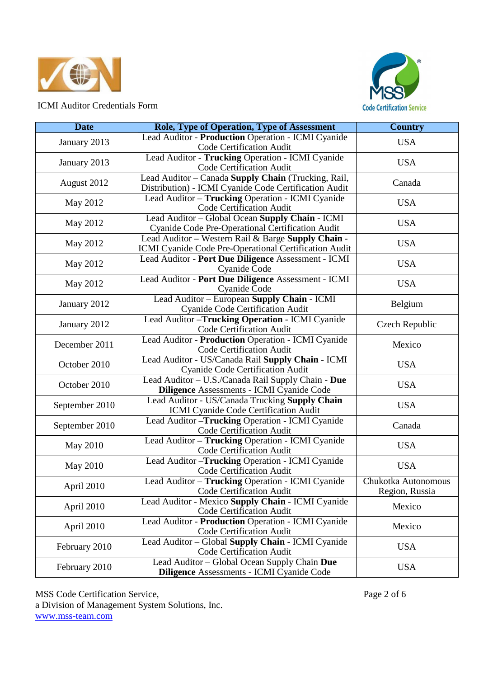



| <b>Date</b>    | <b>Role, Type of Operation, Type of Assessment</b>                                                           | <b>Country</b>                        |
|----------------|--------------------------------------------------------------------------------------------------------------|---------------------------------------|
| January 2013   | Lead Auditor - Production Operation - ICMI Cyanide<br><b>Code Certification Audit</b>                        | <b>USA</b>                            |
| January 2013   | Lead Auditor - Trucking Operation - ICMI Cyanide<br><b>Code Certification Audit</b>                          | <b>USA</b>                            |
| August 2012    | Lead Auditor - Canada Supply Chain (Trucking, Rail,<br>Distribution) - ICMI Cyanide Code Certification Audit | Canada                                |
| May 2012       | Lead Auditor - Trucking Operation - ICMI Cyanide<br><b>Code Certification Audit</b>                          | <b>USA</b>                            |
| May 2012       | Lead Auditor - Global Ocean Supply Chain - ICMI<br>Cyanide Code Pre-Operational Certification Audit          | <b>USA</b>                            |
| May 2012       | Lead Auditor - Western Rail & Barge Supply Chain -<br>ICMI Cyanide Code Pre-Operational Certification Audit  | <b>USA</b>                            |
| May 2012       | Lead Auditor - Port Due Diligence Assessment - ICMI<br>Cyanide Code                                          | <b>USA</b>                            |
| May 2012       | Lead Auditor - Port Due Diligence Assessment - ICMI<br>Cyanide Code                                          | <b>USA</b>                            |
| January 2012   | Lead Auditor - European Supply Chain - ICMI<br><b>Cyanide Code Certification Audit</b>                       | Belgium                               |
| January 2012   | Lead Auditor - Trucking Operation - ICMI Cyanide<br>Code Certification Audit                                 | Czech Republic                        |
| December 2011  | Lead Auditor - Production Operation - ICMI Cyanide<br>Code Certification Audit                               | Mexico                                |
| October 2010   | Lead Auditor - US/Canada Rail Supply Chain - ICMI<br><b>Cyanide Code Certification Audit</b>                 | <b>USA</b>                            |
| October 2010   | Lead Auditor - U.S./Canada Rail Supply Chain - Due<br>Diligence Assessments - ICMI Cyanide Code              | <b>USA</b>                            |
| September 2010 | Lead Auditor - US/Canada Trucking Supply Chain<br>ICMI Cyanide Code Certification Audit                      | <b>USA</b>                            |
| September 2010 | Lead Auditor - Trucking Operation - ICMI Cyanide<br>Code Certification Audit                                 | Canada                                |
| May 2010       | Lead Auditor - Trucking Operation - ICMI Cyanide<br>Code Certification Audit                                 | <b>USA</b>                            |
| May 2010       | Lead Auditor - Trucking Operation - ICMI Cyanide<br>Code Certification Audit                                 | <b>USA</b>                            |
| April 2010     | Lead Auditor - Trucking Operation - ICMI Cyanide<br><b>Code Certification Audit</b>                          | Chukotka Autonomous<br>Region, Russia |
| April 2010     | Lead Auditor - Mexico Supply Chain - ICMI Cyanide<br>Code Certification Audit                                | Mexico                                |
| April 2010     | Lead Auditor - Production Operation - ICMI Cyanide<br>Code Certification Audit                               | Mexico                                |
| February 2010  | Lead Auditor - Global Supply Chain - ICMI Cyanide<br>Code Certification Audit                                | <b>USA</b>                            |
| February 2010  | Lead Auditor - Global Ocean Supply Chain Due<br>Diligence Assessments - ICMI Cyanide Code                    | <b>USA</b>                            |

MSS Code Certification Service, Page 2 of 6 a Division of Management System Solutions, Inc. www.mss-team.com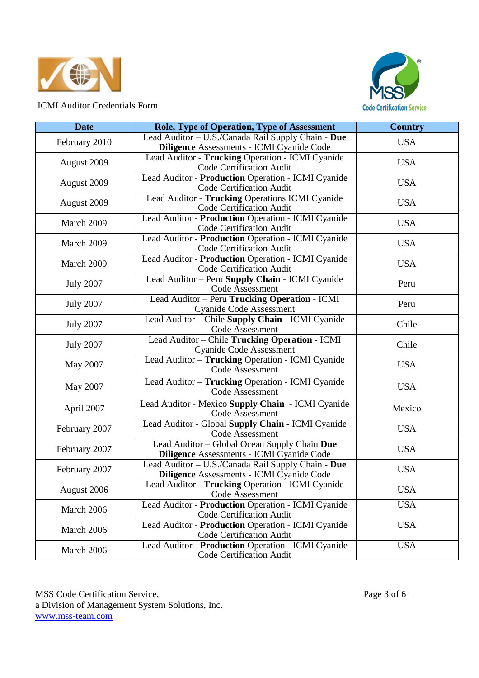



| <b>Date</b>      | <b>Role, Type of Operation, Type of Assessment</b>                                               | <b>Country</b> |  |
|------------------|--------------------------------------------------------------------------------------------------|----------------|--|
| February 2010    | Lead Auditor - U.S./Canada Rail Supply Chain - Due<br>Diligence Assessments - ICMI Cyanide Code  | <b>USA</b>     |  |
| August 2009      | Lead Auditor - Trucking Operation - ICMI Cyanide<br>Code Certification Audit                     | <b>USA</b>     |  |
| August 2009      | Lead Auditor - Production Operation - ICMI Cyanide<br><b>Code Certification Audit</b>            | <b>USA</b>     |  |
| August 2009      | Lead Auditor - Trucking Operations ICMI Cyanide<br>Code Certification Audit                      | <b>USA</b>     |  |
| March 2009       | Lead Auditor - Production Operation - ICMI Cyanide<br>Code Certification Audit                   | <b>USA</b>     |  |
| March 2009       | Lead Auditor - Production Operation - ICMI Cyanide<br>Code Certification Audit                   | <b>USA</b>     |  |
| March 2009       | Lead Auditor - Production Operation - ICMI Cyanide<br>Code Certification Audit                   | <b>USA</b>     |  |
| <b>July 2007</b> | Lead Auditor - Peru Supply Chain - ICMI Cyanide<br>Code Assessment                               | Peru           |  |
| <b>July 2007</b> | Lead Auditor - Peru Trucking Operation - ICMI<br><b>Cyanide Code Assessment</b>                  | Peru           |  |
| <b>July 2007</b> | Lead Auditor - Chile Supply Chain - ICMI Cyanide<br>Code Assessment                              | Chile          |  |
| <b>July 2007</b> | Lead Auditor - Chile Trucking Operation - ICMI<br><b>Cyanide Code Assessment</b>                 | Chile          |  |
| May 2007         | Lead Auditor - Trucking Operation - ICMI Cyanide<br><b>Code Assessment</b>                       | <b>USA</b>     |  |
| May 2007         | Lead Auditor - Trucking Operation - ICMI Cyanide<br>Code Assessment                              | <b>USA</b>     |  |
| April 2007       | Lead Auditor - Mexico Supply Chain - ICMI Cyanide<br>Code Assessment                             | Mexico         |  |
| February 2007    | Lead Auditor - Global Supply Chain - ICMI Cyanide<br><b>Code Assessment</b>                      | <b>USA</b>     |  |
| February 2007    | Lead Auditor - Global Ocean Supply Chain Due<br><b>Diligence</b> Assessments - ICMI Cyanide Code | <b>USA</b>     |  |
| February 2007    | Lead Auditor - U.S./Canada Rail Supply Chain - Due<br>Diligence Assessments - ICMI Cyanide Code  | <b>USA</b>     |  |
| August 2006      | Lead Auditor - Trucking Operation - ICMI Cyanide<br>Code Assessment                              | <b>USA</b>     |  |
| March 2006       | Lead Auditor - Production Operation - ICMI Cyanide<br>Code Certification Audit                   | <b>USA</b>     |  |
| March 2006       | Lead Auditor - Production Operation - ICMI Cyanide<br><b>Code Certification Audit</b>            | <b>USA</b>     |  |
| March 2006       | Lead Auditor - Production Operation - ICMI Cyanide<br><b>Code Certification Audit</b>            | <b>USA</b>     |  |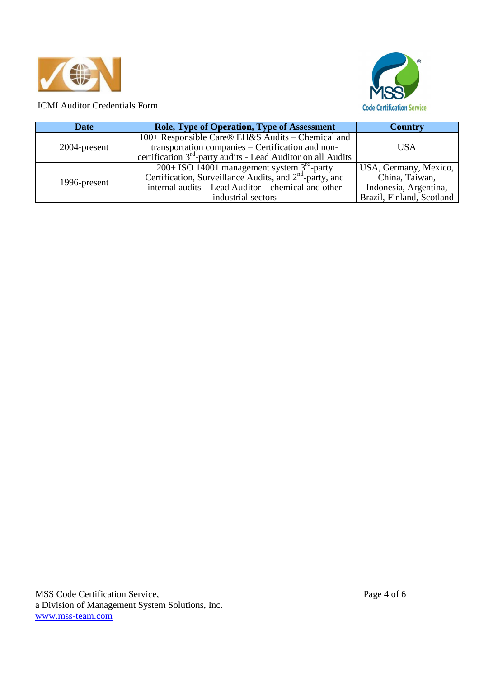



| <b>Date</b>  | Role, Type of Operation, Type of Assessment                              | <b>Country</b>            |
|--------------|--------------------------------------------------------------------------|---------------------------|
|              | 100+ Responsible Care® EH&S Audits – Chemical and                        |                           |
| 2004-present | transportation companies – Certification and non-                        | USA                       |
|              | certification 3 <sup>rd</sup> -party audits - Lead Auditor on all Audits |                           |
| 1996-present | 200+ ISO 14001 management system $3^{rd}$ -party                         | USA, Germany, Mexico,     |
|              | Certification, Surveillance Audits, and 2 <sup>nd</sup> -party, and      | China, Taiwan,            |
|              | internal audits - Lead Auditor - chemical and other                      | Indonesia, Argentina,     |
|              | industrial sectors                                                       | Brazil, Finland, Scotland |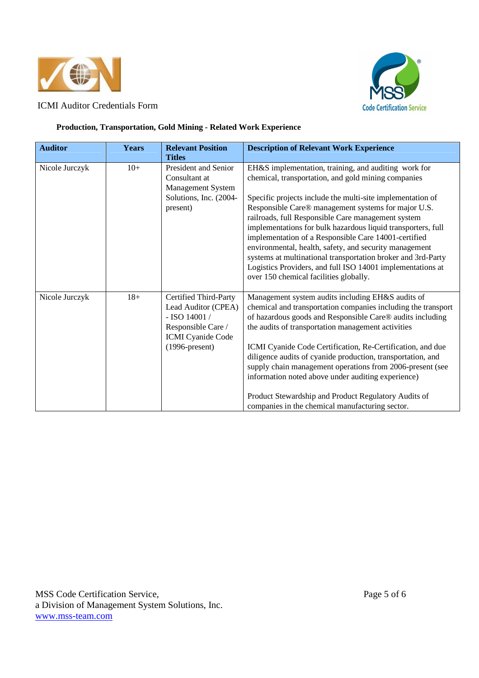



#### **Production, Transportation, Gold Mining - Related Work Experience**

| <b>Auditor</b> | <b>Years</b> | <b>Relevant Position</b><br><b>Titles</b>                                                                                              | <b>Description of Relevant Work Experience</b>                                                                                                                                                                                                                                                                                                                                                                                                                                                                                                                                                                                                   |
|----------------|--------------|----------------------------------------------------------------------------------------------------------------------------------------|--------------------------------------------------------------------------------------------------------------------------------------------------------------------------------------------------------------------------------------------------------------------------------------------------------------------------------------------------------------------------------------------------------------------------------------------------------------------------------------------------------------------------------------------------------------------------------------------------------------------------------------------------|
| Nicole Jurczyk | $10+$        | <b>President and Senior</b><br>Consultant at<br><b>Management System</b><br>Solutions, Inc. (2004-<br>present)                         | EH&S implementation, training, and auditing work for<br>chemical, transportation, and gold mining companies<br>Specific projects include the multi-site implementation of<br>Responsible Care® management systems for major U.S.<br>railroads, full Responsible Care management system<br>implementations for bulk hazardous liquid transporters, full<br>implementation of a Responsible Care 14001-certified<br>environmental, health, safety, and security management<br>systems at multinational transportation broker and 3rd-Party<br>Logistics Providers, and full ISO 14001 implementations at<br>over 150 chemical facilities globally. |
| Nicole Jurczyk | $18+$        | Certified Third-Party<br>Lead Auditor (CPEA)<br>$-$ ISO 14001 /<br>Responsible Care /<br><b>ICMI</b> Cyanide Code<br>$(1996$ -present) | Management system audits including EH&S audits of<br>chemical and transportation companies including the transport<br>of hazardous goods and Responsible Care® audits including<br>the audits of transportation management activities<br>ICMI Cyanide Code Certification, Re-Certification, and due<br>diligence audits of cyanide production, transportation, and<br>supply chain management operations from 2006-present (see<br>information noted above under auditing experience)<br>Product Stewardship and Product Regulatory Audits of<br>companies in the chemical manufacturing sector.                                                 |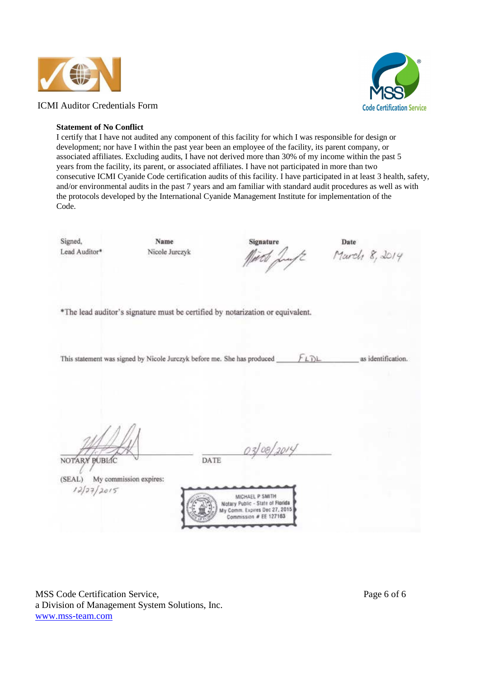





#### **Statement of No Conflict**

I certify that I have not audited any component of this facility for which I was responsible for design or development; nor have I within the past year been an employee of the facility, its parent company, or associated affiliates. Excluding audits, I have not derived more than 30% of my income within the past 5 years from the facility, its parent, or associated affiliates. I have not participated in more than two consecutive ICMI Cyanide Code certification audits of this facility. I have participated in at least 3 health, safety, and/or environmental audits in the past 7 years and am familiar with standard audit procedures as well as with the protocols developed by the International Cyanide Management Institute for implementation of the Code.

Signed, Name Signature Date March 8, 2014 Lead Auditor\* Nicole Jurezyk \*The lead auditor's signature must be certified by notarization or equivalent.  $FLDL$ This statement was signed by Nicole Jurczyk before me. She has produced as identification. 03/08/2015 NOTARY BUBLIC DATE  $(SEAL)$ My commission expires:



MSS Code Certification Service, Page 6 of 6 a Division of Management System Solutions, Inc. www.mss-team.com

 $27/2015$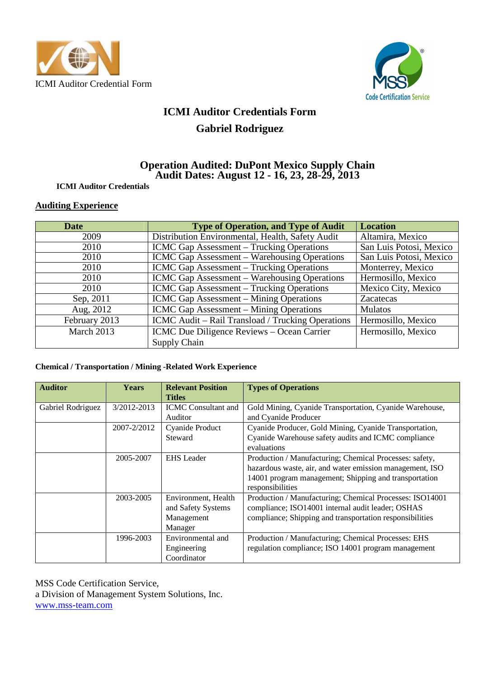



# **ICMI Auditor Credentials Form Gabriel Rodriguez**

## **Operation Audited: DuPont Mexico Supply Chain Audit Dates: August 12 - 16, 23, 28-29, 2013**

## **ICMI Auditor Credentials**

## **Auditing Experience**

| Date          | <b>Type of Operation, and Type of Audit</b>                      | <b>Location</b>         |
|---------------|------------------------------------------------------------------|-------------------------|
| 2009          | Distribution Environmental, Health, Safety Audit                 | Altamira, Mexico        |
| 2010          | <b>ICMC Gap Assessment – Trucking Operations</b>                 | San Luis Potosi, Mexico |
| 2010          | <b>ICMC Gap Assessment – Warehousing Operations</b>              | San Luis Potosi, Mexico |
| 2010          | <b>ICMC Gap Assessment</b> – Trucking Operations                 | Monterrey, Mexico       |
| 2010          | <b>ICMC Gap Assessment – Warehousing Operations</b>              | Hermosillo, Mexico      |
| 2010          | <b>ICMC Gap Assessment – Trucking Operations</b>                 | Mexico City, Mexico     |
| Sep, 2011     | ICMC Gap Assessment – Mining Operations                          | Zacatecas               |
| Aug, 2012     | ICMC Gap Assessment - Mining Operations                          | <b>Mulatos</b>          |
| February 2013 | ICMC Audit – Rail Transload / Trucking Operations                | Hermosillo, Mexico      |
| March 2013    | ICMC Due Diligence Reviews - Ocean Carrier<br>Hermosillo, Mexico |                         |
|               | Supply Chain                                                     |                         |

## **Chemical / Transportation / Mining -Related Work Experience**

| <b>Auditor</b>    | <b>Years</b> | <b>Relevant Position</b><br><b>Titles</b>                          | <b>Types of Operations</b>                                                                                                                                                                       |
|-------------------|--------------|--------------------------------------------------------------------|--------------------------------------------------------------------------------------------------------------------------------------------------------------------------------------------------|
| Gabriel Rodriguez | 3/2012-2013  | <b>ICMC</b> Consultant and<br>Auditor                              | Gold Mining, Cyanide Transportation, Cyanide Warehouse,<br>and Cyanide Producer                                                                                                                  |
|                   | 2007-2/2012  | Cyanide Product<br>Steward                                         | Cyanide Producer, Gold Mining, Cyanide Transportation,<br>Cyanide Warehouse safety audits and ICMC compliance<br>evaluations                                                                     |
|                   | 2005-2007    | <b>EHS</b> Leader                                                  | Production / Manufacturing; Chemical Processes: safety,<br>hazardous waste, air, and water emission management, ISO<br>14001 program management; Shipping and transportation<br>responsibilities |
|                   | 2003-2005    | Environment, Health<br>and Safety Systems<br>Management<br>Manager | Production / Manufacturing; Chemical Processes: ISO14001<br>compliance; ISO14001 internal audit leader; OSHAS<br>compliance; Shipping and transportation responsibilities                        |
|                   | 1996-2003    | Environmental and<br>Engineering<br>Coordinator                    | Production / Manufacturing; Chemical Processes: EHS<br>regulation compliance; ISO 14001 program management                                                                                       |

MSS Code Certification Service, a Division of Management System Solutions, Inc. www.mss-team.com